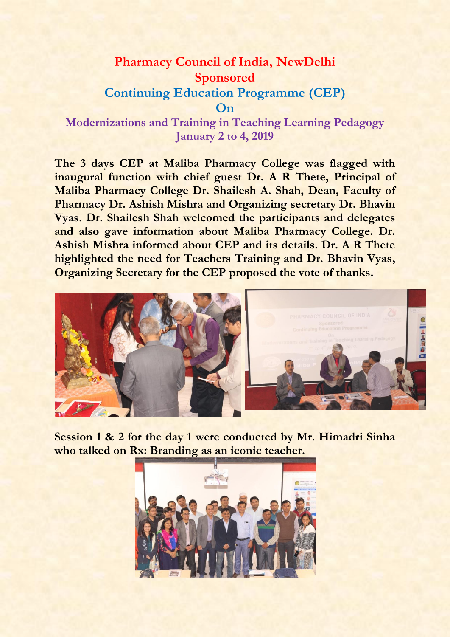## **Pharmacy Council of India, NewDelhi Sponsored Continuing Education Programme (CEP) On**

**Modernizations and Training in Teaching Learning Pedagogy January 2 to 4, 2019**

**The 3 days CEP at Maliba Pharmacy College was flagged with inaugural function with chief guest Dr. A R Thete, Principal of Maliba Pharmacy College Dr. Shailesh A. Shah, Dean, Faculty of Pharmacy Dr. Ashish Mishra and Organizing secretary Dr. Bhavin Vyas. Dr. Shailesh Shah welcomed the participants and delegates and also gave information about Maliba Pharmacy College. Dr. Ashish Mishra informed about CEP and its details. Dr. A R Thete highlighted the need for Teachers Training and Dr. Bhavin Vyas, Organizing Secretary for the CEP proposed the vote of thanks.**



**Session 1 & 2 for the day 1 were conducted by Mr. Himadri Sinha who talked on Rx: Branding as an iconic teacher.** 

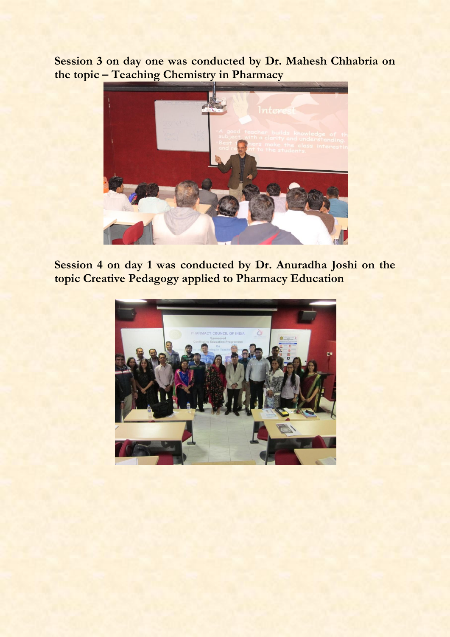**Session 3 on day one was conducted by Dr. Mahesh Chhabria on the topic – Teaching Chemistry in Pharmacy**



**Session 4 on day 1 was conducted by Dr. Anuradha Joshi on the topic Creative Pedagogy applied to Pharmacy Education**

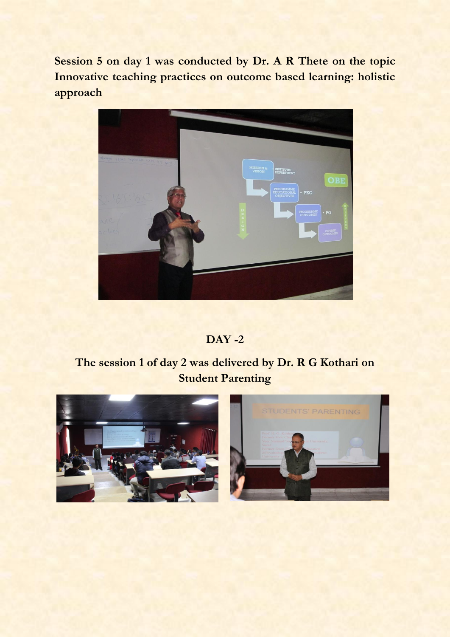**Session 5 on day 1 was conducted by Dr. A R Thete on the topic Innovative teaching practices on outcome based learning: holistic approach**



#### **DAY -2**

## **The session 1 of day 2 was delivered by Dr. R G Kothari on Student Parenting**

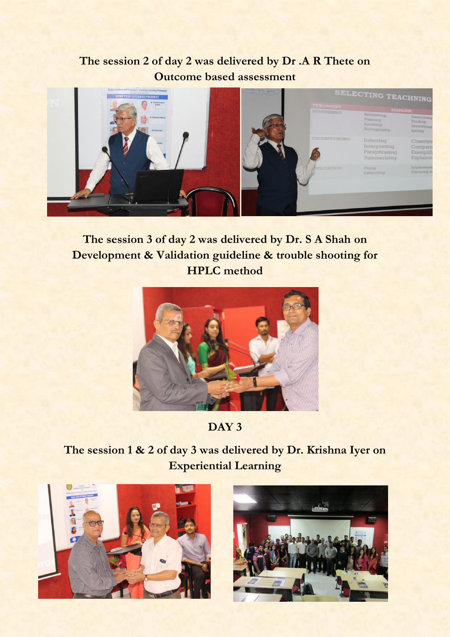#### **The session 2 of day 2 was delivered by Dr .A R Thete on Outcome based assessment**



# **The session 3 of day 2 was delivered by Dr. S A Shah on Development & Validation guideline & trouble shooting for HPLC method**



**DAY 3**

**The session 1 & 2 of day 3 was delivered by Dr. Krishna Iyer on Experiential Learning**